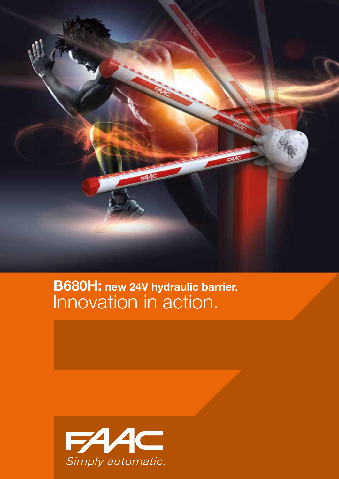

### Innovation in action. B680H: new 24V hydraulic barrier.

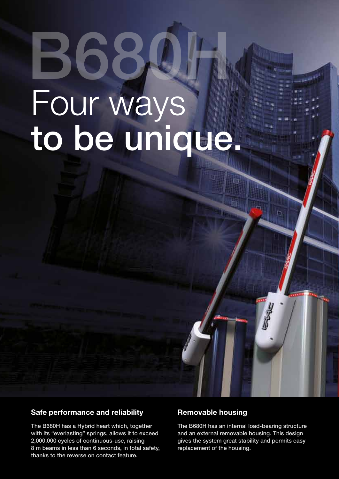# Four ways to be unique. **B68**

#### Safe performance and reliability

The B680H has a Hybrid heart which, together with its "everlasting" springs, allows it to exceed 2,000,000 cycles of continuous-use, raising 8 m beams in less than 6 seconds, in total safety, thanks to the reverse on contact feature.

#### Removable housing

The B680H has an internal load-bearing structure and an external removable housing. This design gives the system great stability and permits easy replacement of the housing.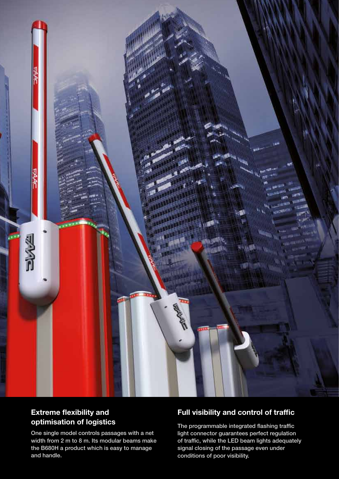

#### Extreme flexibility and optimisation of logistics

One single model controls passages with a net width from 2 m to 8 m. Its modular beams make the B680H a product which is easy to manage and handle.

#### Full visibility and control of traffic

The programmable integrated flashing traffic light connector guarantees perfect regulation of traffic, while the LED beam lights adequately signal closing of the passage even under conditions of poor visibility.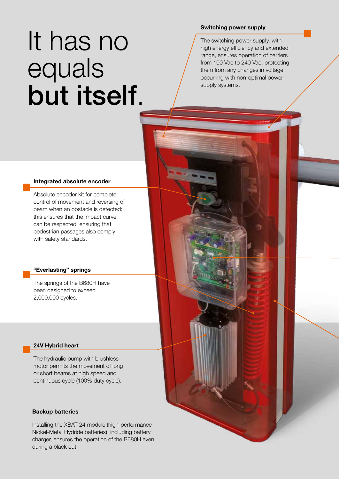## It has no equals but itself.

#### Switching power supply

The switching power supply, with high energy efficiency and extended range, ensures operation of barriers from 100 Vac to 240 Vac, protecting them from any changes in voltage occurring with non-optimal powersupply systems.

#### Integrated absolute encoder

Absolute encoder kit for complete control of movement and reversing of beam when an obstacle is detected: this ensures that the impact curve can be respected, ensuring that pedestrian passages also comply with safety standards.

#### "Everlasting" springs

The springs of the B680H have been designed to exceed 2,000,000 cycles.

#### 24V Hybrid heart

The hydraulic pump with brushless motor permits the movement of long or short beams at high speed and continuous cycle (100% duty cycle).

#### Backup batteries

Installing the XBAT 24 module (high-performance Nickel-Metal Hydride batteries), including battery charger, ensures the operation of the B680H even during a black out.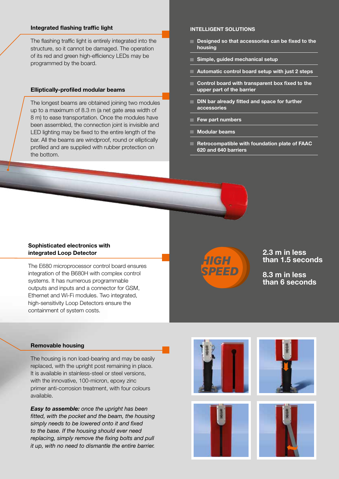#### Integrated flashing traffic light

The flashing traffic light is entirely integrated into the structure, so it cannot be damaged. The operation of its red and green high-efficiency LEDs may be programmed by the board.

#### Elliptically-profiled modular beams

The longest beams are obtained joining two modules up to a maximum of 8.3 m (a net gate area width of 8 m) to ease transportation. Once the modules have been assembled, the connection joint is invisible and LED lighting may be fixed to the entire length of the bar. All the beams are windproof, round or elliptically profiled and are supplied with rubber protection on the bottom.

#### Intelligent solutions

- Designed so that accessories can be fixed to the housing
- Simple, guided mechanical setup
- **Automatic control board setup with just 2 steps**
- Control board with transparent box fixed to the upper part of the barrier
- DIN bar already fitted and space for further accessories
- Few part numbers
- Modular beams
- Retrocompatible with foundation plate of FAAC 620 and 640 barriers

#### Sophisticated electronics with integrated Loop Detector

The E680 microprocessor control board ensures integration of the B680H with complex control systems. It has numerous programmable outputs and inputs and a connector for GSM, Ethernet and Wi-Fi modules. Two integrated, high-sensitivity Loop Detectors ensure the containment of system costs.



2.3 m in less than 1.5 seconds

8.3 m in less than 6 seconds

#### Removable housing

The housing is non load-bearing and may be easily replaced, with the upright post remaining in place. It is available in stainless-steel or steel versions, with the innovative, 100-micron, epoxy zinc primer anti-corrosion treatment, with four colours available.

*Easy to assemble: once the upright has been fitted, with the pocket and the beam, the housing simply needs to be lowered onto it and fixed to the base. If the housing should ever need replacing, simply remove the fixing bolts and pull it up, with no need to dismantle the entire barrier.*







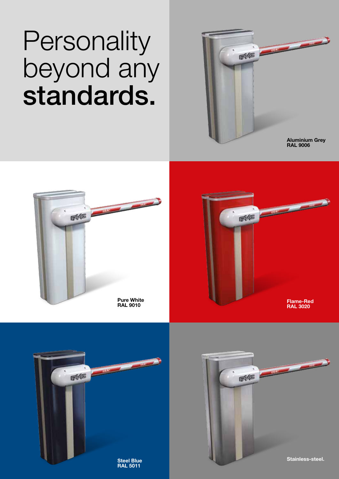### **Personality** beyond any standards.



ENTE ANTIQUE FIFE Pure White Flame-Red RAL 9010 RAL 3020



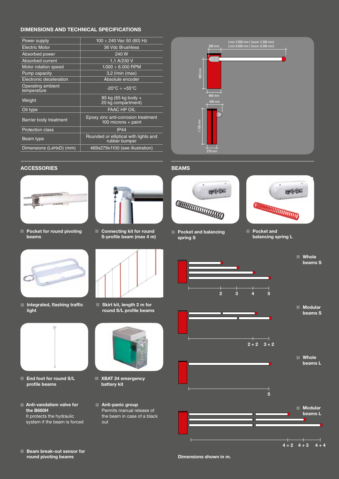#### Dimensions and Technical specifications

| Power supply                     | $100 \div 240$ Vac 50 (60) Hz                                |          |                  |
|----------------------------------|--------------------------------------------------------------|----------|------------------|
| <b>Electric Motor</b>            | 36 Vdc Brushless                                             |          | $300$ mm         |
| Absorbed power                   | 240 W                                                        |          |                  |
| Absorbed current                 | 1.1 A/230 V                                                  |          |                  |
| Motor rotation speed             | $1.000 \div 6.000$ RPM                                       |          |                  |
| Pump capacity                    | $3.2$ I/min (max)                                            | 900 mm   |                  |
| Electronic deceleration          | Absolute encoder                                             |          |                  |
| Operating ambient<br>temperature | $-20^{\circ}$ C ÷ +55 $^{\circ}$ C                           |          |                  |
| Weight                           | 85 kg (65 kg body +<br>20 kg compartment)                    |          | 469 mm<br>436 mm |
| Oil type                         | <b>FAAC HP OIL</b>                                           |          |                  |
| Barrier body treatment           | Epoxy zinc anti-corrosion treatment<br>100 microns $+$ paint | $100$ mm |                  |
| <b>Protection class</b>          | <b>IP44</b>                                                  |          |                  |
| Beam type                        | Rounded or elliptical with lights and<br>rubber bumper       |          |                  |
| Dimensions (LxHxD) (mm)          | 469x279x1100 (see illustration)                              |          | 279 mm           |
|                                  |                                                              |          |                  |



#### ACCESSORIES **BEAMS**



**Pocket for round pivoting** beams



Integrated, flashing traffic light



- **End foot for round S/L** profile beams
- **Anti-vandalism valve for** the B680H It protects the hydraulic system if the beam is forced



- $745$ **COLORADO DE LA CALIFORNACIÓN DE LA CALIFORNACIÓN DE LA CALIFORNACIÓN DE LA CALIFORNACIÓN DE LA CALIFORNACIÓN D**
- **Pocket and balancing** spring S



**Pocket and** balancing spring L



Skirt kit, length 2 m for round S/L profile beams



- XBAT 24 emergency battery kit
- Anti-panic group Permits manual release of the beam in case of a black out



**Beam break-out sensor for** round pivoting beams

Dimensions shown in m.